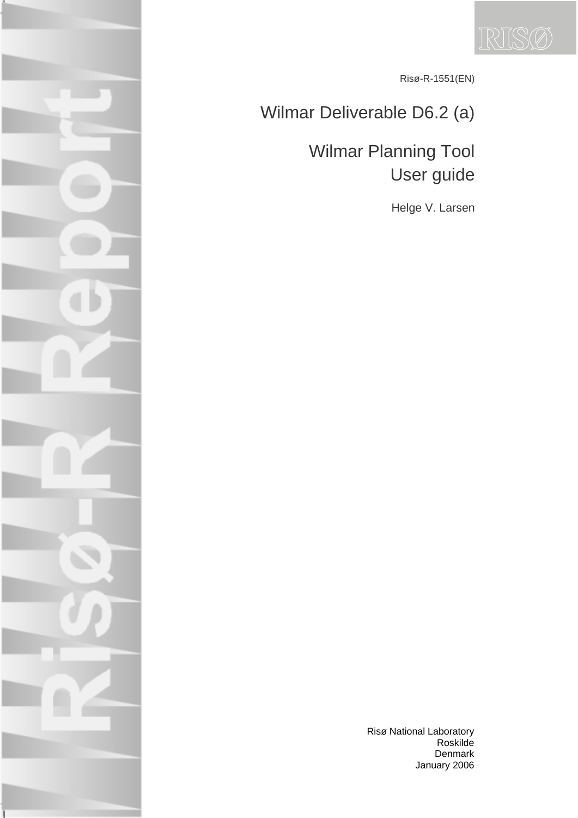

Risø-R-1551(EN)

# Wilmar Deliverable D6.2 (a)

Wilmar Planning Tool User guide

Helge V. Larsen

Risø National Laboratory Roskilde Denmark January 2006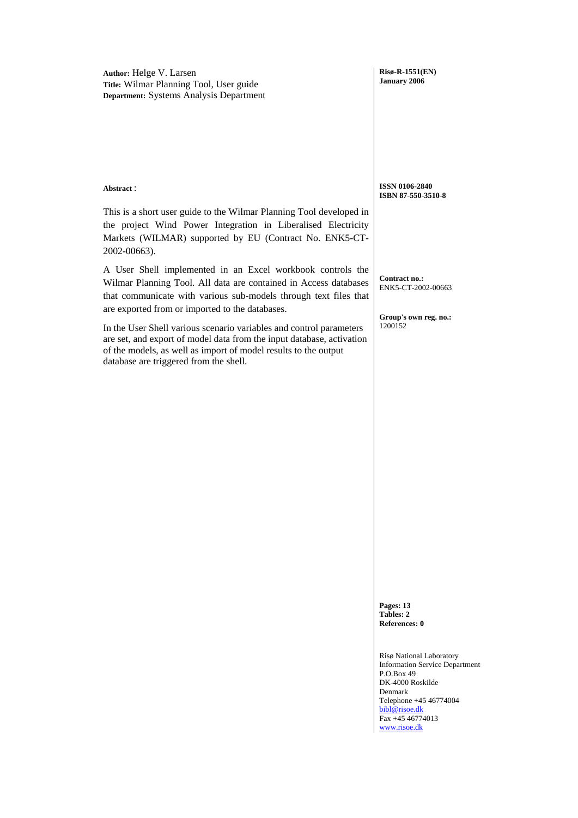**Abstract** :

This is a short user guide to the Wilmar Planning Tool developed in the project Wind Power Integration in Liberalised Electricity Markets (WILMAR) supported by EU (Contract No. ENK5-CT-2002-00663).

A User Shell implemented in an Excel workbook controls the Wilmar Planning Tool. All data are contained in Access databases that communicate with various sub-models through text files that are exported from or imported to the databases.

In the User Shell various scenario variables and control parameters are set, and export of model data from the input database, activation of the models, as well as import of model results to the output database are triggered from the shell.

**ISSN 0106-2840 ISBN 87-550-3510-8** 

**Contract no.:** ENK5-CT-2002-00663

**Group's own reg. no.:** 1200152

**Pages: 13 Tables: 2 References: 0**

Risø National Laboratory Information Service Department P.O.Box 49 DK-4000 Roskilde Denmark Telephone +45 46774004 [bibl@risoe.dk](mailto:bibl@risoe.dk)  $\sqrt{\frac{Fax + 4546774013}{}}$ <www.risoe.dk>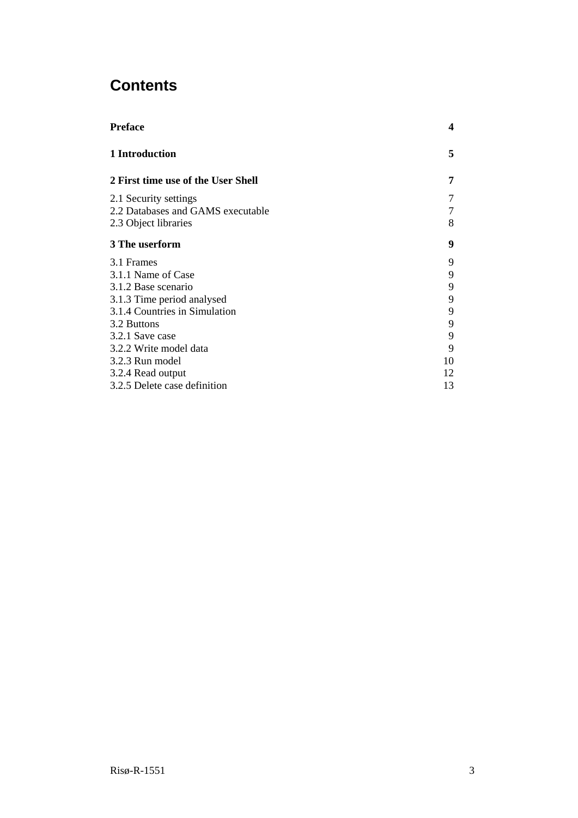# **Contents**

| <b>Preface</b>                     | $\boldsymbol{4}$ |
|------------------------------------|------------------|
| 1 Introduction                     | 5                |
| 2 First time use of the User Shell | 7                |
| 2.1 Security settings              | 7                |
| 2.2 Databases and GAMS executable  | 7                |
| 2.3 Object libraries               | 8                |
| 3 The userform                     | 9                |
| 3.1 Frames                         | 9                |
| 3.1.1 Name of Case                 | 9                |
| 3.1.2 Base scenario                | 9                |
| 3.1.3 Time period analysed         | 9                |
| 3.1.4 Countries in Simulation      | 9                |
| 3.2 Buttons                        | 9                |
| 3.2.1 Save case                    | 9                |
| 3.2.2 Write model data             | 9                |
| 3.2.3 Run model                    | 10               |
| 3.2.4 Read output                  | 12               |
| 3.2.5 Delete case definition       | 13               |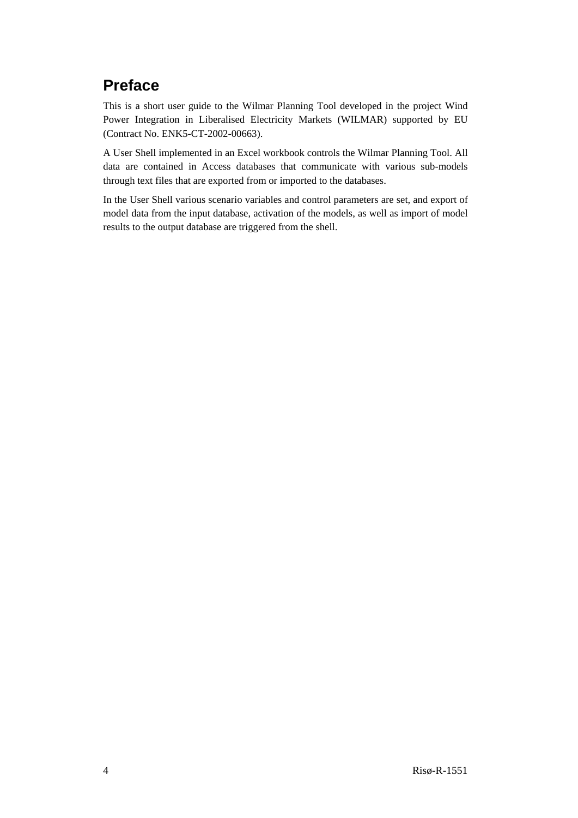# <span id="page-3-0"></span>**Preface**

This is a short user guide to the Wilmar Planning Tool developed in the project Wind Power Integration in Liberalised Electricity Markets (WILMAR) supported by EU (Contract No. ENK5-CT-2002-00663).

A User Shell implemented in an Excel workbook controls the Wilmar Planning Tool. All data are contained in Access databases that communicate with various sub-models through text files that are exported from or imported to the databases.

In the User Shell various scenario variables and control parameters are set, and export of model data from the input database, activation of the models, as well as import of model results to the output database are triggered from the shell.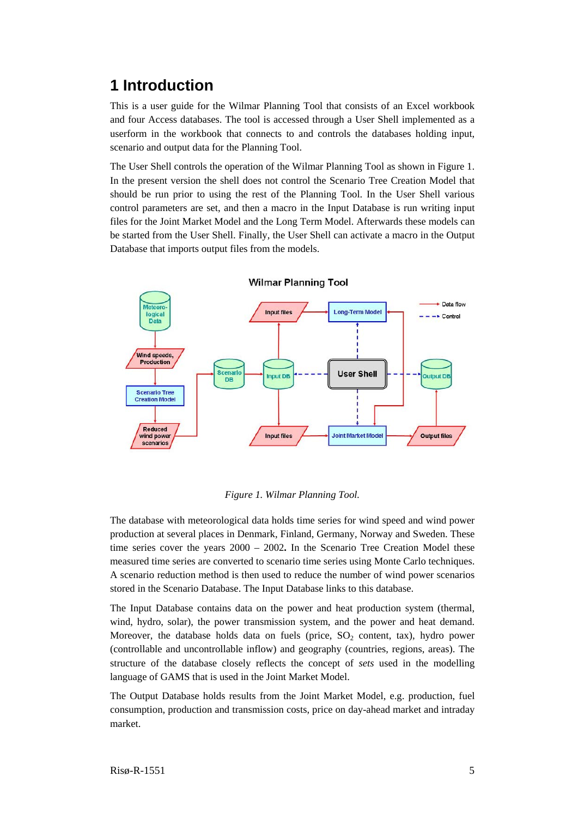# <span id="page-4-0"></span>**1 Introduction**

This is a user guide for the Wilmar Planning Tool that consists of an Excel workbook and four Access databases. The tool is accessed through a User Shell implemented as a userform in the workbook that connects to and controls the databases holding input, scenario and output data for the Planning Tool.

The User Shell controls the operation of the Wilmar Planning Tool as shown in [Figure 1](#page-4-1). In the present version the shell does not control the Scenario Tree Creation Model that should be run prior to using the rest of the Planning Tool. In the User Shell various control parameters are set, and then a macro in the Input Database is run writing input files for the Joint Market Model and the Long Term Model. Afterwards these models can be started from the User Shell. Finally, the User Shell can activate a macro in the Output Database that imports output files from the models.



**Wilmar Planning Tool** 

*Figure 1. Wilmar Planning Tool.* 

<span id="page-4-1"></span>The database with meteorological data holds time series for wind speed and wind power production at several places in Denmark, Finland, Germany, Norway and Sweden. These time series cover the years 2000 – 2002**.** In the Scenario Tree Creation Model these measured time series are converted to scenario time series using Monte Carlo techniques. A scenario reduction method is then used to reduce the number of wind power scenarios stored in the Scenario Database. The Input Database links to this database.

The Input Database contains data on the power and heat production system (thermal, wind, hydro, solar), the power transmission system, and the power and heat demand. Moreover, the database holds data on fuels (price,  $SO<sub>2</sub>$  content, tax), hydro power (controllable and uncontrollable inflow) and geography (countries, regions, areas). The structure of the database closely reflects the concept of *sets* used in the modelling language of GAMS that is used in the Joint Market Model.

The Output Database holds results from the Joint Market Model, e.g. production, fuel consumption, production and transmission costs, price on day-ahead market and intraday market.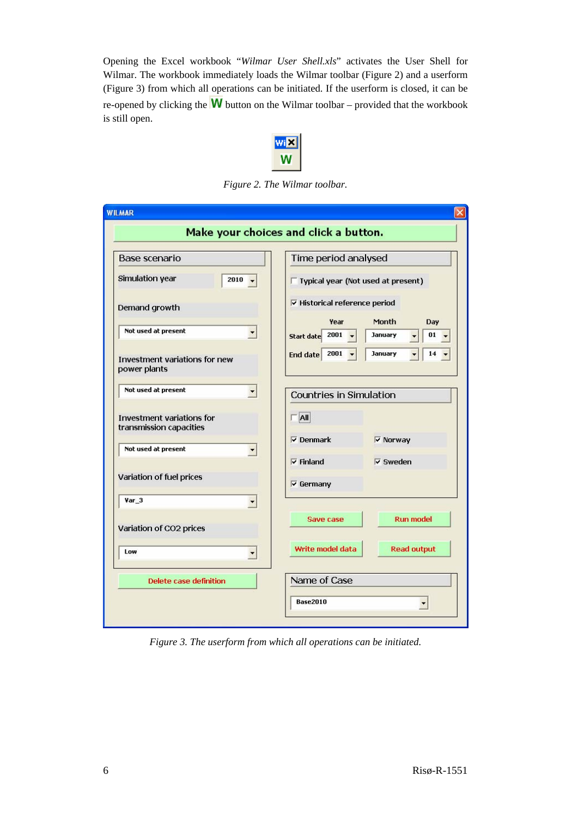Opening the Excel workbook "*Wilmar User Shell.xls*" activates the User Shell for Wilmar. The workbook immediately loads the Wilmar toolbar [\(Figure 2\)](#page-5-0) and a userform ([Figure 3\)](#page-5-1) from which all operations can be initiated. If the userform is closed, it can be re-opened by clicking the  $\overline{W}$  button on the Wilmar toolbar – provided that the workbook is still open.



*Figure 2. The Wilmar toolbar.* 

<span id="page-5-0"></span>

| <b>WILMAR</b>                                               | Make your choices and click a button.                                     |
|-------------------------------------------------------------|---------------------------------------------------------------------------|
|                                                             |                                                                           |
| <b>Base scenario</b>                                        | Time period analysed                                                      |
| Simulation year<br>2010                                     | $\Box$ Typical year (Not used at present)                                 |
| Demand growth                                               | $\nabla$ Historical reference period                                      |
| Not used at present                                         | Month<br>Year<br>Day<br>2001<br>01<br><b>January</b><br><b>Start date</b> |
| Investment variations for new<br>power plants               | 2001<br><b>January</b><br>14<br>End date                                  |
| Not used at present<br>$\blacktriangledown$                 | <b>Countries in Simulation</b>                                            |
| <b>Investment variations for</b><br>transmission capacities | $^- $ All                                                                 |
| Not used at present                                         | $\nabla$ Denmark<br>$\overline{\vee}$ Norway                              |
| <b>Variation of fuel prices</b>                             | $\overline{\vee}$ Finland<br>$\nabla$ Sweden<br>$\triangledown$ Germany   |
| $Var_3$                                                     |                                                                           |
| Variation of CO2 prices                                     | <b>Run model</b><br>Save case                                             |
| Low<br>$\blacktriangledown$                                 | Write model data<br><b>Read output</b>                                    |
| <b>Delete case definition</b>                               | Name of Case                                                              |
|                                                             | <b>Base2010</b>                                                           |

<span id="page-5-1"></span>*Figure 3. The userform from which all operations can be initiated.*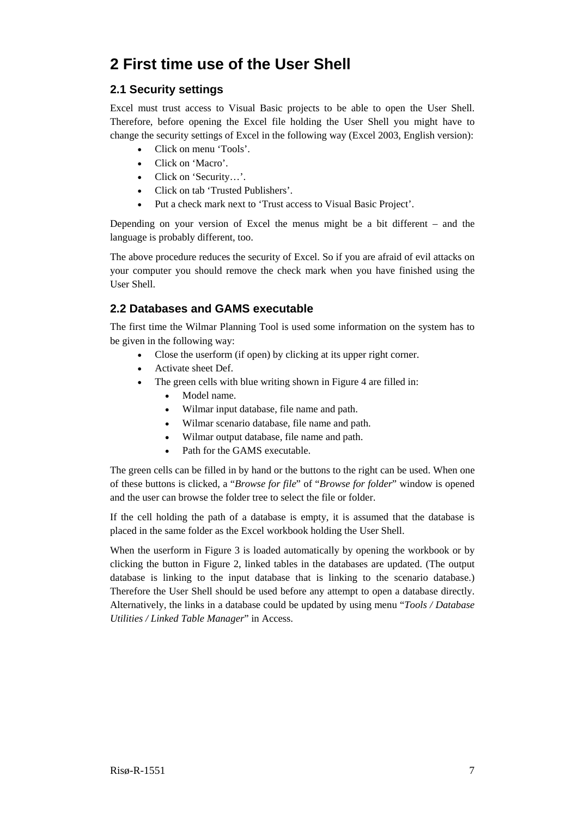# <span id="page-6-0"></span>**2 First time use of the User Shell**

### **2.1 Security settings**

Excel must trust access to Visual Basic projects to be able to open the User Shell. Therefore, before opening the Excel file holding the User Shell you might have to change the security settings of Excel in the following way (Excel 2003, English version):

- Click on menu 'Tools'.
- Click on 'Macro'.
- Click on 'Security...'.
- Click on tab 'Trusted Publishers'.
- Put a check mark next to 'Trust access to Visual Basic Project'.

Depending on your version of Excel the menus might be a bit different – and the language is probably different, too.

The above procedure reduces the security of Excel. So if you are afraid of evil attacks on your computer you should remove the check mark when you have finished using the User Shell.

### **2.2 Databases and GAMS executable**

The first time the Wilmar Planning Tool is used some information on the system has to be given in the following way:

- Close the userform (if open) by clicking at its upper right corner.
- Activate sheet Def.
- The green cells with blue writing shown in [Figure 4](#page-7-1) are filled in:
	- Model name.
	- Wilmar input database, file name and path.
	- Wilmar scenario database, file name and path.
	- Wilmar output database, file name and path.
	- Path for the GAMS executable.

The green cells can be filled in by hand or the buttons to the right can be used. When one of these buttons is clicked, a "*Browse for file*" of "*Browse for folder*" window is opened and the user can browse the folder tree to select the file or folder.

If the cell holding the path of a database is empty, it is assumed that the database is placed in the same folder as the Excel workbook holding the User Shell.

When the userform in [Figure 3](#page-5-1) is loaded automatically by opening the workbook or by clicking the button in [Figure 2](#page-5-0), linked tables in the databases are updated. (The output database is linking to the input database that is linking to the scenario database.) Therefore the User Shell should be used before any attempt to open a database directly. Alternatively, the links in a database could be updated by using menu "*Tools / Database Utilities / Linked Table Manager*" in Access.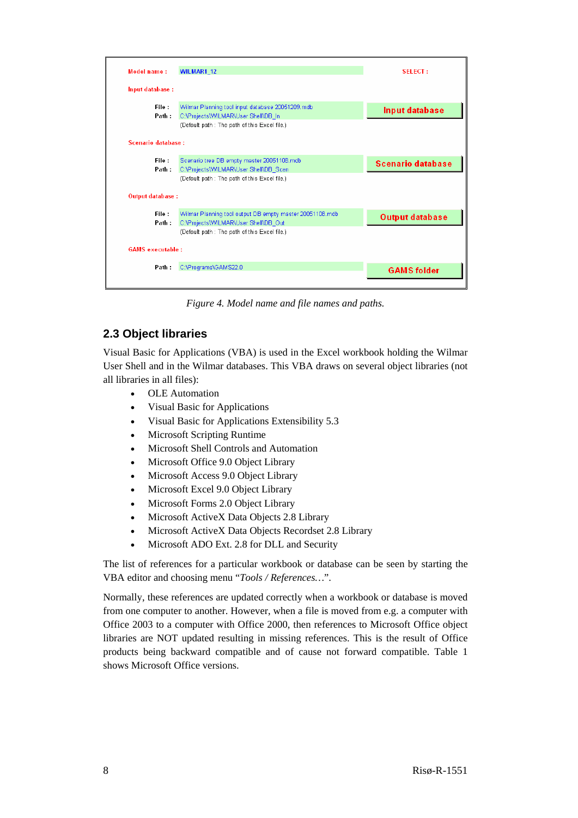<span id="page-7-0"></span>

| Model name:               | WILMAR1 12                                                                                                                                        | <b>SELECT:</b>           |
|---------------------------|---------------------------------------------------------------------------------------------------------------------------------------------------|--------------------------|
| Input database:           |                                                                                                                                                   |                          |
| File :<br>Path:           | Wilmar Planning tool input database 20051209.mdb<br>C:\Projects\WILMAR\User Shell\DB_In                                                           | Input database           |
| <b>Scenario database:</b> | (Default path: The path of this Excel file.)                                                                                                      |                          |
| File :<br>Path:           | Scenario tree DB empty master 20051108.mdb<br>C:\Projects\WILMAR\User Shell\DB_Scen<br>(Default path: The path of this Excel file.)               | <b>Scenario database</b> |
| Output database:          |                                                                                                                                                   |                          |
| File:<br>Path:            | Wilmar Planning tool output DB empty master 20051108.mdb<br>C:\Projects\WILMAR\User Shell\DB_Out<br>(Default path : The path of this Excel file.) | <b>Output database</b>   |
| <b>GAMS</b> executable:   |                                                                                                                                                   |                          |
| Path:                     | C:\Programs\GAMS22.0                                                                                                                              | <b>GAMS folder</b>       |

*Figure 4. Model name and file names and paths.* 

### <span id="page-7-1"></span>**2.3 Object libraries**

Visual Basic for Applications (VBA) is used in the Excel workbook holding the Wilmar User Shell and in the Wilmar databases. This VBA draws on several object libraries (not all libraries in all files):

- OLE Automation
- Visual Basic for Applications
- Visual Basic for Applications Extensibility 5.3
- Microsoft Scripting Runtime
- Microsoft Shell Controls and Automation
- Microsoft Office 9.0 Object Library
- Microsoft Access 9.0 Object Library
- Microsoft Excel 9.0 Object Library
- Microsoft Forms 2.0 Object Library
- Microsoft ActiveX Data Objects 2.8 Library
- Microsoft ActiveX Data Objects Recordset 2.8 Library
- Microsoft ADO Ext. 2.8 for DLL and Security

The list of references for a particular workbook or database can be seen by starting the VBA editor and choosing menu "*Tools / References…*".

Normally, these references are updated correctly when a workbook or database is moved from one computer to another. However, when a file is moved from e.g. a computer with Office 2003 to a computer with Office 2000, then references to Microsoft Office object libraries are NOT updated resulting in missing references. This is the result of Office products being backward compatible and of cause not forward compatible. [Table 1](#page-8-1) shows Microsoft Office versions.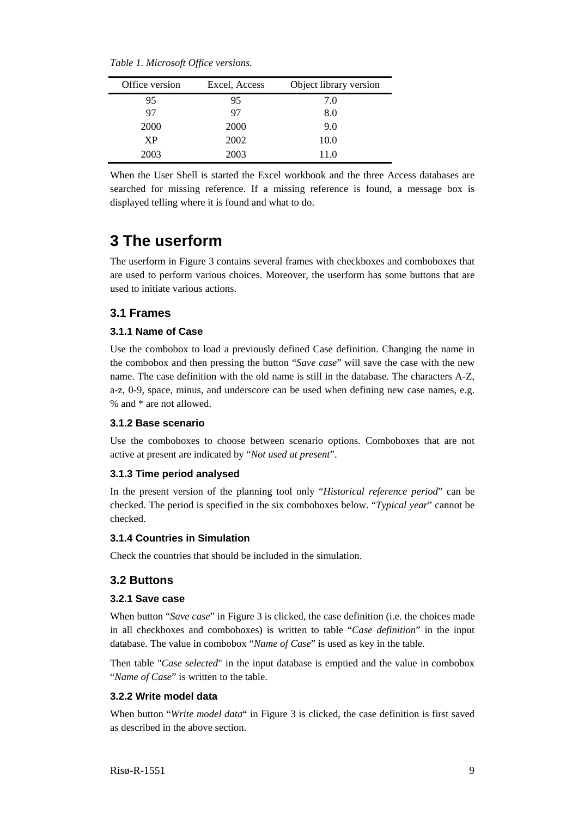<span id="page-8-1"></span><span id="page-8-0"></span>*Table 1. Microsoft Office versions.* 

| Office version | Excel, Access | Object library version |  |
|----------------|---------------|------------------------|--|
| 95             | 95            | 7.0                    |  |
| 97             | 97            | 8.0                    |  |
| 2000           | 2000          | 9.0                    |  |
| <b>XP</b>      | 2002          | 10.0                   |  |
| 2003           | 2003          | 11.0                   |  |
|                |               |                        |  |

When the User Shell is started the Excel workbook and the three Access databases are searched for missing reference. If a missing reference is found, a message box is displayed telling where it is found and what to do.

## **3 The userform**

The userform in [Figure 3](#page-5-1) contains several frames with checkboxes and comboboxes that are used to perform various choices. Moreover, the userform has some buttons that are used to initiate various actions.

### **3.1 Frames**

#### **3.1.1 Name of Case**

Use the combobox to load a previously defined Case definition. Changing the name in the combobox and then pressing the button "*Save case*" will save the case with the new name. The case definition with the old name is still in the database. The characters A-Z, a-z, 0-9, space, minus, and underscore can be used when defining new case names, e.g. % and \* are not allowed.

#### **3.1.2 Base scenario**

Use the comboboxes to choose between scenario options. Comboboxes that are not active at present are indicated by "*Not used at present*".

#### **3.1.3 Time period analysed**

In the present version of the planning tool only "*Historical reference period*" can be checked. The period is specified in the six comboboxes below. "*Typical year*" cannot be checked.

#### **3.1.4 Countries in Simulation**

Check the countries that should be included in the simulation.

### **3.2 Buttons**

#### **3.2.1 Save case**

When button "*Save case*" in [Figure 3](#page-5-1) is clicked, the case definition (i.e. the choices made in all checkboxes and comboboxes) is written to table "*Case definition*" in the input database. The value in combobox "*Name of Case*" is used as key in the table.

Then table "*Case selected*" in the input database is emptied and the value in combobox "*Name of Case*" is written to the table.

#### **3.2.2 Write model data**

When button "*Write model data*" in [Figure 3](#page-5-1) is clicked, the case definition is first saved as described in the above section.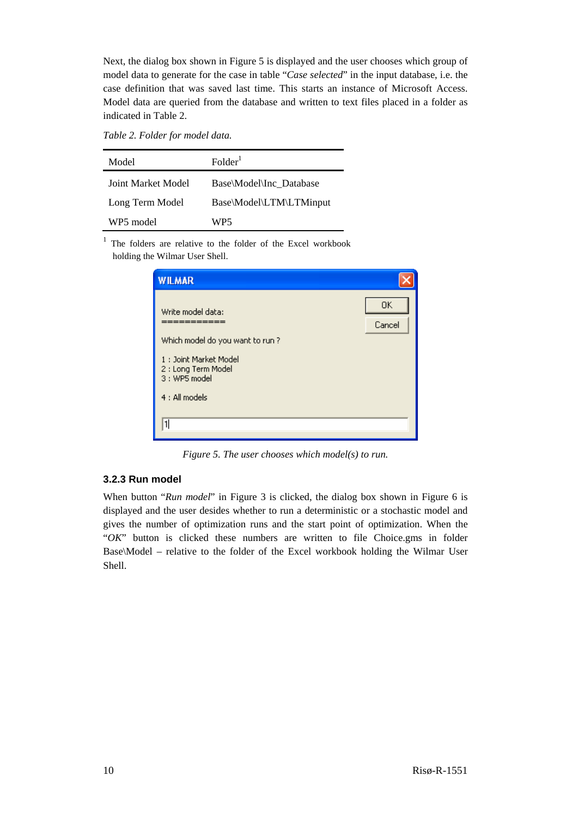<span id="page-9-0"></span>Next, the dialog box shown in [Figure 5](#page-9-1) is displayed and the user chooses which group of model data to generate for the case in table "*Case selected*" in the input database, i.e. the case definition that was saved last time. This starts an instance of Microsoft Access. Model data are queried from the database and written to text files placed in a folder as indicated in [Table 2](#page-9-2).

<span id="page-9-2"></span>*Table 2. Folder for model data.* 

| Model              | Folder <sup>1</sup>     |
|--------------------|-------------------------|
| Joint Market Model | Base\Model\Inc Database |
| Long Term Model    | Base\Model\LTM\LTMinput |
| WP5 model          | WP5                     |

<sup>1</sup> The folders are relative to the folder of the Excel workbook holding the Wilmar User Shell.

| <b>WILMAR</b>                                                                                                                         |              |
|---------------------------------------------------------------------------------------------------------------------------------------|--------------|
| Write model data:<br>Which model do you want to run?<br>1: Joint Market Model<br>2: Long Term Model<br>3: WP5 model<br>4 : All models | 0K<br>Cancel |
|                                                                                                                                       |              |

*Figure 5. The user chooses which model(s) to run.* 

#### <span id="page-9-1"></span>**3.2.3 Run model**

When button "*Run model*" in [Figure 3](#page-5-1) is clicked, the dialog box shown in [Figure 6](#page-10-0) is displayed and the user desides whether to run a deterministic or a stochastic model and gives the number of optimization runs and the start point of optimization. When the "*OK*" button is clicked these numbers are written to file Choice.gms in folder Base\Model – relative to the folder of the Excel workbook holding the Wilmar User Shell.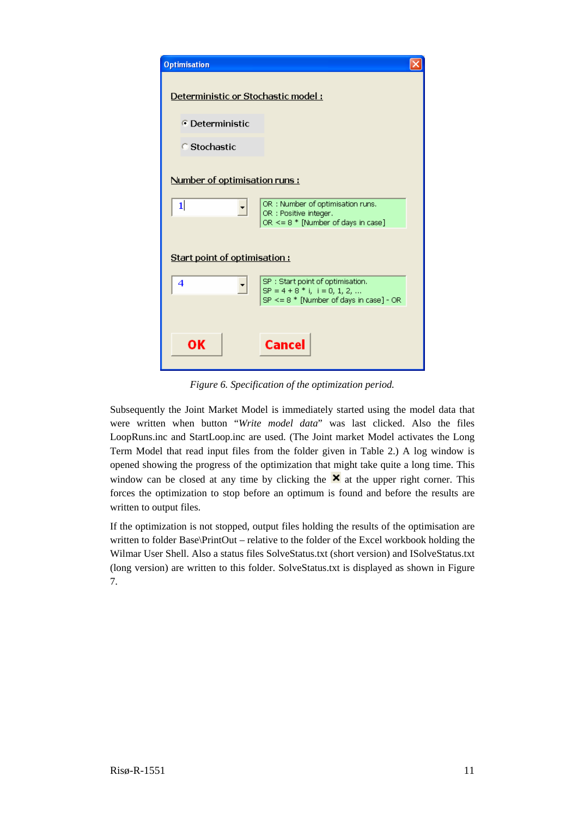| <b>Optimisation</b>                                                                                                      |
|--------------------------------------------------------------------------------------------------------------------------|
| <u>Deterministic or Stochastic model :</u>                                                                               |
| C Deterministic                                                                                                          |
| C Stochastic                                                                                                             |
| Number of optimisation runs:                                                                                             |
| OR: Number of optimisation runs.<br>$\mathbf{1}$<br>OR : Positive integer.<br>OR $\leq$ = 8 $*$ [Number of days in case] |
| <u>Start point of optimisation :</u>                                                                                     |
| SP: Start point of optimisation.<br>4<br>$SP = 4 + 8 * i, i = 0, 1, 2, $<br>$SP \leq B *$ [Number of days in case] - OR  |
|                                                                                                                          |
| <b>Cancel</b><br>οк                                                                                                      |

*Figure 6. Specification of the optimization period.* 

<span id="page-10-0"></span>Subsequently the Joint Market Model is immediately started using the model data that were written when button "*Write model data*" was last clicked. Also the files LoopRuns.inc and StartLoop.inc are used. (The Joint market Model activates the Long Term Model that read input files from the folder given in [Table 2.](#page-9-2)) A log window is opened showing the progress of the optimization that might take quite a long time. This window can be closed at any time by clicking the  $\mathbf{\times}$  at the upper right corner. This forces the optimization to stop before an optimum is found and before the results are written to output files.

If the optimization is not stopped, output files holding the results of the optimisation are written to folder Base\PrintOut – relative to the folder of the Excel workbook holding the Wilmar User Shell. Also a status files SolveStatus.txt (short version) and ISolveStatus.txt (long version) are written to this folder. SolveStatus.txt is displayed as shown in [Figure](#page-11-1)  [7.](#page-11-1)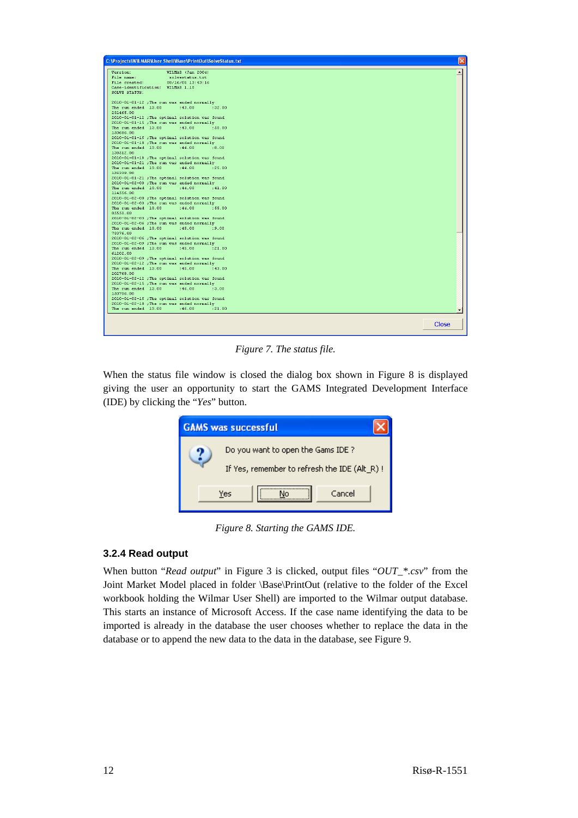<span id="page-11-0"></span>

| C:\Projects\WILMAR\User Shell\Base\PrintOut\SolveStatus.txt | ⊠     |
|-------------------------------------------------------------|-------|
| Version:<br>WILMAR (Jan 2004)                               |       |
| File name:<br>solvestatus.txt                               |       |
| File created:<br>08/16/05 13:43:16                          |       |
| Case-identification: WILMAR 1.10                            |       |
| SOLVE STATUS:                                               |       |
|                                                             |       |
| 2010-01-01-12 ; The run was ended normally                  |       |
| The run ended 13.00<br>:43.00<br>:32.00                     |       |
| 231465.00                                                   |       |
| 2010-01-01-12 ; The optimal solution was found              |       |
| 2010-01-01-15 ; The run was ended normally                  |       |
| The run ended 13.00<br>: 43.00<br>:50.00                    |       |
| 150686.00                                                   |       |
| 2010-01-01-15 ; The optimal solution was found              |       |
| 2010-01-01-18 ; The run was ended normally                  |       |
| The run ended 13.00 :44.00<br>:8.00                         |       |
| 138512.00                                                   |       |
| 2010-01-01-18 ; The optimal solution was found              |       |
| 2010-01-01-21 ; The run was ended normally                  |       |
| The run ended 13.00<br>:44.00<br>: 25.00                    |       |
| 126338.00                                                   |       |
| 2010-01-01-21 ; The optimal solution was found              |       |
| 2010-01-02-00 ; The run was ended normally                  |       |
| The run ended 13.00<br>:44.00<br>:41.00                     |       |
| 114556.00                                                   |       |
| 2010-01-02-00 ; The optimal solution was found              |       |
| 2010-01-02-03 ; The run was ended normally                  |       |
| The run ended 13.00<br>: 44.00<br>:55.00                    |       |
| 85550.00                                                    |       |
| 2010-01-02-03 ; The optimal solution was found              |       |
| 2010-01-02-06 ; The run was ended normally                  |       |
| The run ended 13.00<br>:45.00<br>: 9.00                     |       |
| 73376.00                                                    |       |
| 2010-01-02-06 ; The optimal solution was found              |       |
| 2010-01-02-09 ; The run was ended normally                  |       |
| The run ended 13.00<br>:45.00<br>: 21.00                    |       |
| 61202.00                                                    |       |
| 2010-01-02-09 ; The optimal solution was found              |       |
| 2010-01-02-12 ; The run was ended normally                  |       |
| The run ended 13.00<br>: 45.00<br>143.00                    |       |
| 202768.00                                                   |       |
| 2010-01-02-12 ; The optimal solution was found              |       |
| 2010-01-02-15 ; The run was ended normally                  |       |
| The run ended 13.00<br>:46.00<br>13.00                      |       |
| 150706.00                                                   |       |
| 2010-01-02-15 ; The optimal solution was found              |       |
| 2010-01-02-18 ; The run was ended normally                  |       |
| The run ended 13.00<br>:46.00<br>: 21.00                    |       |
|                                                             |       |
|                                                             |       |
|                                                             | Close |
|                                                             |       |

*Figure 7. The status file.* 

<span id="page-11-1"></span>When the status file window is closed the dialog box shown in [Figure 8](#page-11-2) is displayed giving the user an opportunity to start the GAMS Integrated Development Interface (IDE) by clicking the "*Yes*" button.

| <b>GAMS was successful</b>                                                         |  |
|------------------------------------------------------------------------------------|--|
| Do you want to open the Gams IDE?<br>If Yes, remember to refresh the IDE (Alt_R) ! |  |
| Cancel<br>Yes                                                                      |  |

*Figure 8. Starting the GAMS IDE.* 

#### <span id="page-11-2"></span>**3.2.4 Read output**

When button "*Read output*" in [Figure 3](#page-5-1) is clicked, output files "*OUT* \*.csv" from the Joint Market Model placed in folder \Base\PrintOut (relative to the folder of the Excel workbook holding the Wilmar User Shell) are imported to the Wilmar output database. This starts an instance of Microsoft Access. If the case name identifying the data to be imported is already in the database the user chooses whether to replace the data in the database or to append the new data to the data in the database, see [Figure 9](#page-12-1).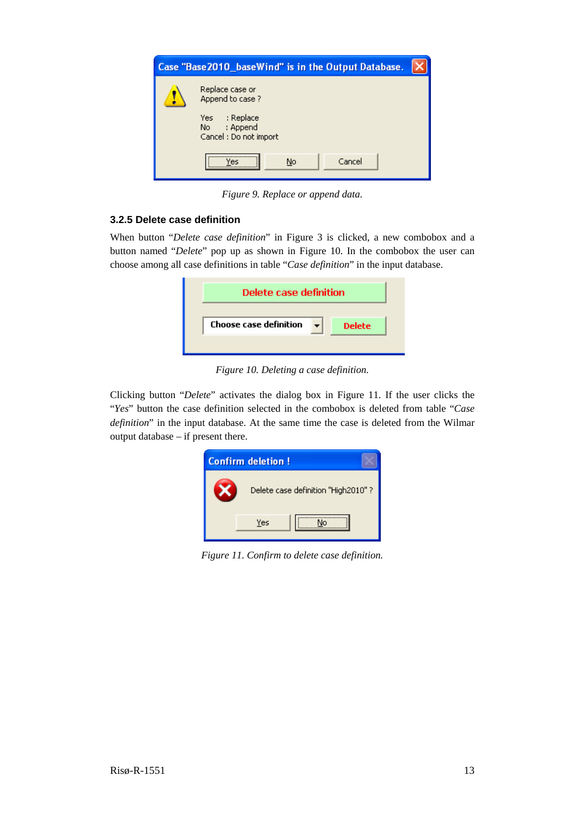<span id="page-12-0"></span>

*Figure 9. Replace or append data.* 

#### <span id="page-12-1"></span>**3.2.5 Delete case definition**

When button "*Delete case definition*" in [Figure 3](#page-5-1) is clicked, a new combobox and a button named "*Delete*" pop up as shown in [Figure 10.](#page-12-2) In the combobox the user can choose among all case definitions in table "*Case definition*" in the input database.

| Delete case definition        |  |               |
|-------------------------------|--|---------------|
| <b>Choose case definition</b> |  | <b>Delete</b> |
|                               |  |               |

*Figure 10. Deleting a case definition.* 

<span id="page-12-3"></span><span id="page-12-2"></span>Clicking button "*Delete*" activates the dialog box in [Figure 11](#page-12-3). If the user clicks the "*Yes*" button the case definition selected in the combobox is deleted from table "*Case definition*" in the input database. At the same time the case is deleted from the Wilmar output database – if present there.



*Figure 11. Confirm to delete case definition.*